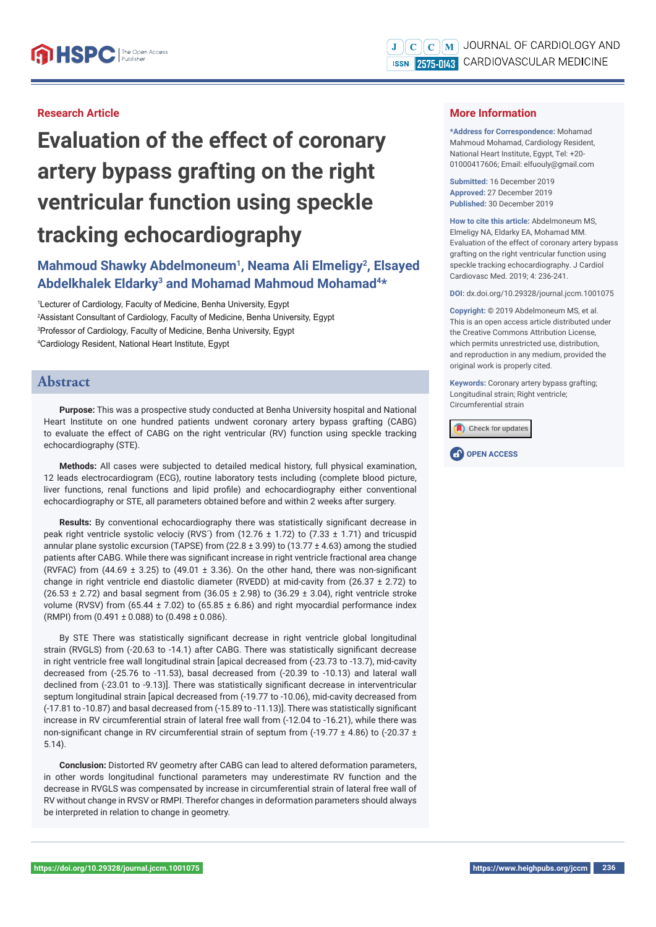#### **Research Article**

# **Evaluation of the effect of coronary artery bypass grafting on the right ventricular function using speckle tracking echocardiography**

# Mahmoud Shawky Abdelmoneum<sup>1</sup>, Neama Ali Elmeligy<sup>2</sup>, Elsayed **Abdelkhalek Eldarky3 and Mohamad Mahmoud Mohamad4\***

 Lecturer of Cardiology, Faculty of Medicine, Benha University, Egypt Assistant Consultant of Cardiology, Faculty of Medicine, Benha University, Egypt Professor of Cardiology, Faculty of Medicine, Benha University, Egypt Cardiology Resident, National Heart Institute, Egypt

## **Abstract**

**Purpose:** This was a prospective study conducted at Benha University hospital and National Heart Institute on one hundred patients undwent coronary artery bypass grafting (CABG) to evaluate the effect of CABG on the right ventricular (RV) function using speckle tracking echocardiography (STE).

**Methods:** All cases were subjected to detailed medical history, full physical examination, 12 leads electrocardiogram (ECG), routine laboratory tests including (complete blood picture, liver functions, renal functions and lipid profile) and echocardiography either conventional echocardiography or STE, all parameters obtained before and within 2 weeks after surgery.

**Results:** By conventional echocardiography there was statistically significant decrease in peak right ventricle systolic velociy (RVS´) from (12.76  $\pm$  1.72) to (7.33  $\pm$  1.71) and tricuspid annular plane systolic excursion (TAPSE) from (22.8  $\pm$  3.99) to (13.77  $\pm$  4.63) among the studied patients after CABG. While there was significant increase in right ventricle fractional area change (RVFAC) from (44.69  $\pm$  3.25) to (49.01  $\pm$  3.36). On the other hand, there was non-significant change in right ventricle end diastolic diameter (RVEDD) at mid-cavity from (26.37  $\pm$  2.72) to  $(26.53 \pm 2.72)$  and basal segment from  $(36.05 \pm 2.98)$  to  $(36.29 \pm 3.04)$ , right ventricle stroke volume (RVSV) from (65.44  $\pm$  7.02) to (65.85  $\pm$  6.86) and right myocardial performance index (RMPI) from  $(0.491 \pm 0.088)$  to  $(0.498 \pm 0.086)$ .

By STE There was statistically significant decrease in right ventricle global longitudinal strain (RVGLS) from (-20.63 to -14.1) after CABG. There was statistically significant decrease in right ventricle free wall longitudinal strain [apical decreased from (-23.73 to -13.7), mid-cavity decreased from (-25.76 to -11.53), basal decreased from (-20.39 to -10.13) and lateral wall declined from (-23.01 to -9.13)]. There was statistically significant decrease in interventricular septum longitudinal strain [apical decreased from (-19.77 to -10.06), mid-cavity decreased from (-17.81 to -10.87) and basal decreased from (-15.89 to -11.13)]. There was statistically signifi cant increase in RV circumferential strain of lateral free wall from (-12.04 to -16.21), while there was non-significant change in RV circumferential strain of septum from (-19.77  $\pm$  4.86) to (-20.37  $\pm$ 5.14).

**Conclusion:** Distorted RV geometry after CABG can lead to altered deformation parameters, in other words longitudinal functional parameters may underestimate RV function and the decrease in RVGLS was compensated by increase in circumferential strain of lateral free wall of RV without change in RVSV or RMPI. Therefor changes in deformation parameters should always be interpreted in relation to change in geometry.

#### **More Information**

**\*Address for Correspondence:** Mohamad Mahmoud Mohamad, Cardiology Resident, National Heart Institute, Egypt, Tel: +20- 01000417606; Email: elfuouly@gmail.com

**Submitted:** 16 December 2019 **Approved:** 27 December 2019 **Published:** 30 December 2019

**How to cite this article:** Abdelmoneum MS, Elmeligy NA, Eldarky EA, Mohamad MM. Evaluation of the effect of coronary artery bypass grafting on the right ventricular function using speckle tracking echocardiography. J Cardiol Cardiovasc Med. 2019; 4: 236-241.

**DOI:** dx.doi.org/10.29328/journal.jccm.1001075

**Copyright: ©** 2019 Abdelmoneum MS, et al. This is an open access article distributed under the Creative Commons Attribution License, which permits unrestricted use, distribution, and reproduction in any medium, provided the original work is properly cited.

**Keywords:** Coronary artery bypass grafting; Longitudinal strain; Right ventricle; Circumferential strain



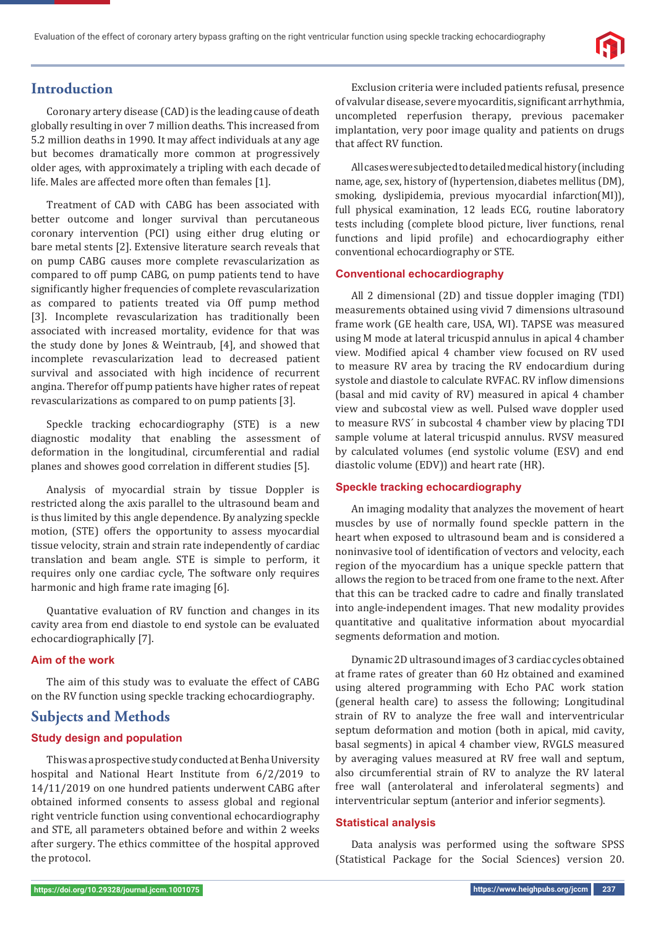

# **Introduction**

Coronary artery disease (CAD) is the leading cause of death globally resulting in over 7 million deaths. This increased from 5.2 million deaths in 1990. It may affect individuals at any age but becomes dramatically more common at progressively older ages, with approximately a tripling with each decade of life. Males are affected more often than females [1].

Treatment of CAD with CABG has been associated with better outcome and longer survival than percutaneous coronary intervention (PCI) using either drug eluting or bare metal stents [2]. Extensive literature search reveals that on pump CABG causes more complete revascularization as compared to off pump CABG, on pump patients tend to have significantly higher frequencies of complete revascularization as compared to patients treated via Off pump method [3]. Incomplete revascularization has traditionally been associated with increased mortality, evidence for that was the study done by Jones & Weintraub, [4], and showed that incomplete revascularization lead to decreased patient survival and associated with high incidence of recurrent angina. Therefor off pump patients have higher rates of repeat revascularizations as compared to on pump patients [3].

Speckle tracking echocardiography (STE) is a new diagnostic modality that enabling the assessment of deformation in the longitudinal, circumferential and radial planes and showes good correlation in different studies [5].

Analysis of myocardial strain by tissue Doppler is restricted along the axis parallel to the ultrasound beam and is thus limited by this angle dependence. By analyzing speckle motion, (STE) offers the opportunity to assess myocardial tissue velocity, strain and strain rate independently of cardiac translation and beam angle. STE is simple to perform, it requires only one cardiac cycle, The software only requires harmonic and high frame rate imaging [6].

Quantative evaluation of RV function and changes in its cavity area from end diastole to end systole can be evaluated echocardiographically [7].

#### **Aim of the work**

The aim of this study was to evaluate the effect of CABG on the RV function using speckle tracking echocardiography.

## **Subjects and Methods**

#### **Study design and population**

This was a prospective study conducted at Benha University hospital and National Heart Institute from 6/2/2019 to 14/11/2019 on one hundred patients underwent CABG after obtained informed consents to assess global and regional right ventricle function using conventional echocardiography and STE, all parameters obtained before and within 2 weeks after surgery. The ethics committee of the hospital approved the protocol.

Exclusion criteria were included patients refusal, presence of valvular disease, severe myocarditis, significant arrhythmia, uncompleted reperfusion therapy, previous pacemaker implantation, very poor image quality and patients on drugs that affect RV function.

All cases were subjected to detailed medical history (including name, age, sex, history of (hypertension, diabetes mellitus (DM), smoking, dyslipidemia, previous myocardial infarction(MI)), full physical examination, 12 leads ECG, routine laboratory tests including (complete blood picture, liver functions, renal functions and lipid profile) and echocardiography either conventional echocardiography or STE.

#### **Conventional echocardiography**

All 2 dimensional (2D) and tissue doppler imaging (TDI) measurements obtained using vivid 7 dimensions ultrasound frame work (GE health care, USA, WI). TAPSE was measured using M mode at lateral tricuspid annulus in apical 4 chamber view. Modified apical 4 chamber view focused on RV used to measure RV area by tracing the RV endocardium during systole and diastole to calculate RVFAC. RV inflow dimensions (basal and mid cavity of RV) measured in apical 4 chamber view and subcostal view as well. Pulsed wave doppler used to measure RVS´ in subcostal 4 chamber view by placing TDI sample volume at lateral tricuspid annulus. RVSV measured by calculated volumes (end systolic volume (ESV) and end diastolic volume (EDV)) and heart rate (HR).

#### **Speckle tracking echocardiography**

An imaging modality that analyzes the movement of heart muscles by use of normally found speckle pattern in the heart when exposed to ultrasound beam and is considered a noninvasive tool of identification of vectors and velocity, each region of the myocardium has a unique speckle pattern that allows the region to be traced from one frame to the next. After that this can be tracked cadre to cadre and finally translated into angle-independent images. That new modality provides quantitative and qualitative information about myocardial segments deformation and motion.

Dynamic 2D ultrasound images of 3 cardiac cycles obtained at frame rates of greater than 60 Hz obtained and examined using altered programming with Echo PAC work station (general health care) to assess the following; Longitudinal strain of RV to analyze the free wall and interventricular septum deformation and motion (both in apical, mid cavity, basal segments) in apical 4 chamber view, RVGLS measured by averaging values measured at RV free wall and septum, also circumferential strain of RV to analyze the RV lateral free wall (anterolateral and inferolateral segments) and interventricular septum (anterior and inferior segments).

#### **Statistical analysis**

Data analysis was performed using the software SPSS (Statistical Package for the Social Sciences) version 20.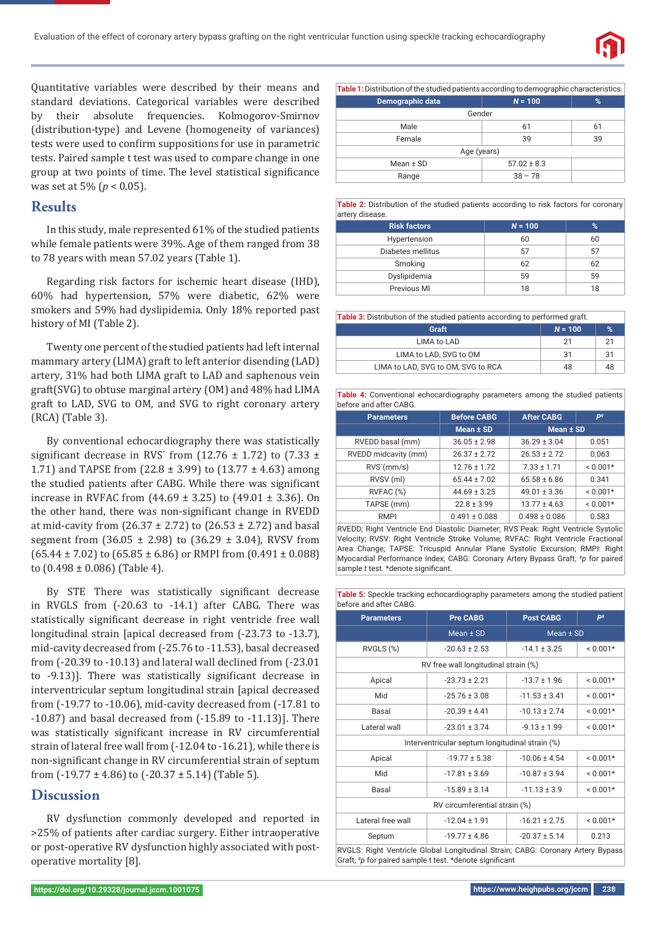

Quantitative variables were described by their means and standard deviations. Categorical variables were described by their absolute frequencies. Kolmogorov-Smirnov (distribution-type) and Levene (homogeneity of variances) tests were used to confirm suppositions for use in parametric tests. Paired sample t test was used to compare change in one group at two points of time. The level statistical significance was set at 5% (*p* < 0.05).

## **Results**

In this study, male represented 61% of the studied patients while female patients were 39%. Age of them ranged from 38 to 78 years with mean 57.02 years (Table 1).

Regarding risk factors for ischemic heart disease (IHD), 60% had hypertension, 57% were diabetic, 62% were smokers and 59% had dyslipidemia. Only 18% reported past history of MI (Table 2).

Twenty one percent of the studied patients had left internal mammary artery (LIMA) graft to left anterior disending (LAD) artery, 31% had both LIMA graft to LAD and saphenous vein graft(SVG) to obtuse marginal artery (OM) and 48% had LIMA graft to LAD, SVG to OM, and SVG to right coronary artery (RCA) (Table 3).

By conventional echocardiography there was statistically significant decrease in RVS' from (12.76  $\pm$  1.72) to (7.33  $\pm$ 1.71) and TAPSE from  $(22.8 \pm 3.99)$  to  $(13.77 \pm 4.63)$  among the studied patients after CABG. While there was significant increase in RVFAC from  $(44.69 \pm 3.25)$  to  $(49.01 \pm 3.36)$ . On the other hand, there was non-significant change in RVEDD at mid-cavity from  $(26.37 \pm 2.72)$  to  $(26.53 \pm 2.72)$  and basal segment from  $(36.05 \pm 2.98)$  to  $(36.29 \pm 3.04)$ , RVSV from  $(65.44 \pm 7.02)$  to  $(65.85 \pm 6.86)$  or RMPI from  $(0.491 \pm 0.088)$ to  $(0.498 \pm 0.086)$  (Table 4).

By STE There was statistically significant decrease in RVGLS from (-20.63 to -14.1) after CABG. There was statistically significant decrease in right ventricle free wall longitudinal strain [apical decreased from  $(-23.73 \text{ to } -13.7)$ ]. mid-cavity decreased from (-25.76 to -11.53), basal decreased from (-20.39 to -10.13) and lateral wall declined from (-23.01 to -9.13)]. There was statistically significant decrease in interventricular septum longitudinal strain [apical decreased from (-19.77 to -10.06), mid-cavity decreased from (-17.81 to -10.87) and basal decreased from (-15.89 to -11.13)]. There was statistically significant increase in RV circumferential strain of lateral free wall from (-12.04 to -16.21), while there is non-significant change in RV circumferential strain of septum from  $(-19.77 \pm 4.86)$  to  $(-20.37 \pm 5.14)$  (Table 5).

# **Discussion**

RV dysfunction commonly developed and reported in >25% of patients after cardiac surgery. Either intraoperative or post-operative RV dysfunction highly associated with postoperative mortality [8].

| <b>Table 1:</b> Distribution of the studied patients according to demographic characteristics. |                 |    |  |
|------------------------------------------------------------------------------------------------|-----------------|----|--|
| Demographic data                                                                               | $N = 100$       | %  |  |
| Gender                                                                                         |                 |    |  |
| Male                                                                                           | 61              | 61 |  |
| Female                                                                                         | 39              | 39 |  |
| Age (years)                                                                                    |                 |    |  |
| Mean $±$ SD                                                                                    | $57.02 \pm 8.3$ |    |  |
| Range                                                                                          | $38 - 78$       |    |  |

**Table 2:** Distribution of the studied patients according to risk factors for coronary artery disease.

| <b>Risk factors</b> | $N = 100$ | %  |
|---------------------|-----------|----|
| Hypertension        | 60        | 60 |
| Diabetes mellitus   | 57        | 57 |
| Smoking             | 62        | 62 |
| Dyslipidemia        | 59        | 59 |
| Previous MI         | 18        | 18 |

| <b>Table 3:</b> Distribution of the studied patients according to performed graft. |           |    |  |
|------------------------------------------------------------------------------------|-----------|----|--|
| Graft                                                                              | $N = 100$ | %  |  |
| LIMA to LAD                                                                        | 21        | 21 |  |
| LIMA to LAD, SVG to OM                                                             | 31        | 31 |  |
| LIMA to LAD, SVG to OM, SVG to RCA                                                 | 48        | 48 |  |

**Table 4:** Conventional echocardiography parameters among the studied patients before and after CABG.

| <b>Parameters</b>    | <b>Before CABG</b> | <b>After CABG</b> | P#         |
|----------------------|--------------------|-------------------|------------|
|                      | Mean $±$ SD        | Mean $±$ SD       |            |
| RVEDD basal (mm)     | $36.05 \pm 2.98$   | $36.29 \pm 3.04$  | 0.051      |
| RVEDD midcavity (mm) | $26.37 + 2.72$     | $26.53 \pm 2.72$  | 0.063      |
| RVS'(mm/s)           | $12.76 \pm 1.72$   | $7.33 \pm 1.71$   | $< 0.001*$ |
| RVSV (ml)            | $65.44 \pm 7.02$   | $65.58 \pm 6.86$  | 0.341      |
| RVFAC (%)            | $44.69 \pm 3.25$   | $49.01 \pm 3.36$  | $< 0.001*$ |
| TAPSE (mm)           | $22.8 \pm 3.99$    | $13.77 \pm 4.63$  | $< 0.001*$ |
| <b>RMPI</b>          | $0.491 \pm 0.088$  | $0.498 \pm 0.086$ | 0.583      |

RVEDD; Right Ventricle End Diastolic Diameter; RVS`Peak: Right Ventricle Systolic Velocity; RVSV: Right Ventricle Stroke Volume; RVFAC: Right Ventricle Fractional Area Change; TAPSE: Tricuspid Annular Plane Systolic Excursion; RMPI: Right Myocardial Performance Index; CABG: Coronary Artery Bypass Graft; #*p* for paired sample *t* test. \*denote significant.

**Table 5:** Speckle tracking echocardiography parameters among the studied patient before and after CABG.

| <b>Parameters</b>                                                                                                                          | <b>Pre CABG</b>                      | <b>Post CABG</b>  | P <sup>#</sup> |  |
|--------------------------------------------------------------------------------------------------------------------------------------------|--------------------------------------|-------------------|----------------|--|
|                                                                                                                                            | Mean ± SD                            | Mean ± SD         |                |  |
| RVGLS (%)                                                                                                                                  | $-20.63 \pm 2.53$                    | $-14.1 \pm 3.25$  | $< 0.001*$     |  |
|                                                                                                                                            | RV free wall longitudinal strain (%) |                   |                |  |
| Apical                                                                                                                                     | $-23.73 \pm 2.21$                    | $-13.7 \pm 1.96$  | $< 0.001*$     |  |
| Mid                                                                                                                                        | $-25.76 \pm 3.08$                    | $-11.53 \pm 3.41$ | $< 0.001*$     |  |
| Basal                                                                                                                                      | $-20.39 \pm 4.41$                    | $-10.13 \pm 2.74$ | $< 0.001*$     |  |
| Lateral wall                                                                                                                               | $-23.01 \pm 3.74$                    | $-9.13 \pm 1.99$  | $< 0.001*$     |  |
| Interventricular septum longitudinal strain (%)                                                                                            |                                      |                   |                |  |
| Apical                                                                                                                                     | $-19.77 \pm 5.38$                    | $-10.06 \pm 4.54$ | $< 0.001*$     |  |
| Mid                                                                                                                                        | $-17.81 \pm 3.69$                    | $-10.87 \pm 3.94$ | $< 0.001*$     |  |
| Basal                                                                                                                                      | $-15.89 \pm 3.14$                    | $-11.13 \pm 3.9$  | $< 0.001*$     |  |
| RV circumferential strain (%)                                                                                                              |                                      |                   |                |  |
| Lateral free wall                                                                                                                          | $-12.04 \pm 1.91$                    | $-16.21 \pm 2.75$ | $< 0.001*$     |  |
| Septum                                                                                                                                     | $-19.77 \pm 4.86$                    | $-20.37 \pm 5.14$ | 0.213          |  |
| RVGLS: Right Ventricle Global Longitudinal Strain; CABG: Coronary Artery Bypass<br>Graft; #p for paired sample t test. *denote significant |                                      |                   |                |  |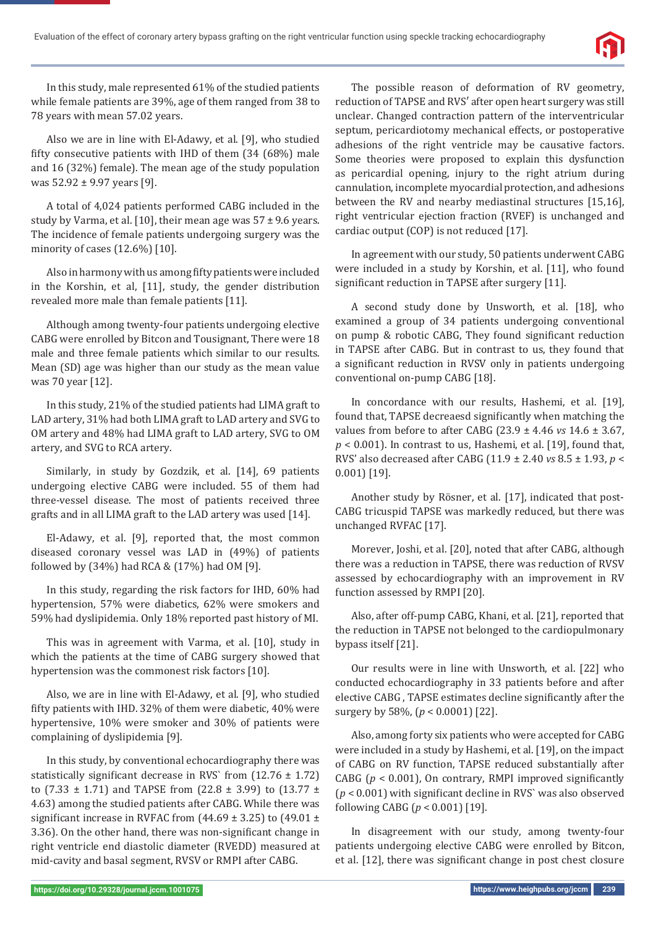

In this study, male represented 61% of the studied patients while female patients are 39%, age of them ranged from 38 to 78 years with mean 57.02 years.

Also we are in line with El-Adawy, et al. [9], who studied fifty consecutive patients with IHD of them  $(34 \ (68%)$  male and 16 (32%) female). The mean age of the study population was 52.92 ± 9.97 years [9].

A total of 4,024 patients performed CABG included in the study by Varma, et al. [10], their mean age was  $57 \pm 9.6$  years. The incidence of female patients undergoing surgery was the minority of cases (12.6%) [10].

Also in harmony with us among fifty patients were included in the Korshin, et al, [11], study, the gender distribution revealed more male than female patients [11].

Although among twenty-four patients undergoing elective CABG were enrolled by Bitcon and Tousignant, There were 18 male and three female patients which similar to our results. Mean (SD) age was higher than our study as the mean value was 70 year [12].

In this study, 21% of the studied patients had LIMA graft to LAD artery, 31% had both LIMA graft to LAD artery and SVG to OM artery and 48% had LIMA graft to LAD artery, SVG to OM artery, and SVG to RCA artery.

Similarly, in study by Gozdzik, et al. [14], 69 patients undergoing elective CABG were included. 55 of them had three-vessel disease. The most of patients received three grafts and in all LIMA graft to the LAD artery was used [14].

El-Adawy, et al. [9], reported that, the most common diseased coronary vessel was LAD in (49%) of patients followed by (34%) had RCA & (17%) had OM [9].

In this study, regarding the risk factors for IHD, 60% had hypertension, 57% were diabetics, 62% were smokers and 59% had dyslipidemia. Only 18% reported past history of MI.

This was in agreement with Varma, et al. [10], study in which the patients at the time of CABG surgery showed that hypertension was the commonest risk factors [10].

Also, we are in line with El-Adawy, et al. [9], who studied fifty patients with IHD. 32% of them were diabetic, 40% were hypertensive, 10% were smoker and 30% of patients were complaining of dyslipidemia [9].

In this study, by conventional echocardiography there was statistically significant decrease in RVS` from  $(12.76 \pm 1.72)$ to (7.33  $\pm$  1.71) and TAPSE from (22.8  $\pm$  3.99) to (13.77  $\pm$ 4.63) among the studied patients after CABG. While there was significant increase in RVFAC from (44.69  $\pm$  3.25) to (49.01  $\pm$ 3.36). On the other hand, there was non-significant change in right ventricle end diastolic diameter (RVEDD) measured at mid-cavity and basal segment, RVSV or RMPI after CABG.

The possible reason of deformation of RV geometry, reduction of TAPSE and RVS′ after open heart surgery was still unclear. Changed contraction pattern of the interventricular septum, pericardiotomy mechanical effects, or postoperative adhesions of the right ventricle may be causative factors. Some theories were proposed to explain this dysfunction as pericardial opening, injury to the right atrium during cannulation, incomplete myocardial protection, and adhesions between the RV and nearby mediastinal structures [15,16], right ventricular ejection fraction (RVEF) is unchanged and cardiac output (COP) is not reduced [17].

In agreement with our study, 50 patients underwent CABG were included in a study by Korshin, et al. [11], who found significant reduction in TAPSE after surgery [11].

A second study done by Unsworth, et al. [18], who examined a group of 34 patients undergoing conventional on pump & robotic CABG, They found significant reduction in TAPSE after CABG. But in contrast to us, they found that a significant reduction in RVSV only in patients undergoing conventional on-pump CABG [18].

In concordance with our results, Hashemi, et al. [19], found that, TAPSE decreaesd significantly when matching the values from before to after CABG (23.9 ± 4.46 *vs* 14.6 ± 3.67, *p* < 0.001). In contrast to us, Hashemi, et al. [19], found that, RVS' also decreased after CABG (11.9 ± 2.40 *vs* 8.5 ± 1.93, *p* < 0.001) [19].

Another study by Rösner, et al. [17], indicated that post-CABG tricuspid TAPSE was markedly reduced, but there was unchanged RVFAC [17].

Morever, Joshi, et al. [20], noted that after CABG, although there was a reduction in TAPSE, there was reduction of RVSV assessed by echocardiography with an improvement in RV function assessed by RMPI [20].

Also, after off-pump CABG, Khani, et al. [21], reported that the reduction in TAPSE not belonged to the cardiopulmonary bypass itself [21].

Our results were in line with Unsworth, et al. [22] who conducted echocardiography in 33 patients before and after elective CABG, TAPSE estimates decline significantly after the surgery by 58%, (*p* < 0.0001) [22].

Also, among forty six patients who were accepted for CABG were included in a study by Hashemi, et al. [19], on the impact of CABG on RV function, TAPSE reduced substantially after CABG ( $p < 0.001$ ), On contrary, RMPI improved significantly  $(p < 0.001)$  with significant decline in RVS` was also observed following CABG (*p* < 0.001) [19].

In disagreement with our study, among twenty-four patients undergoing elective CABG were enrolled by Bitcon, et al. [12], there was significant change in post chest closure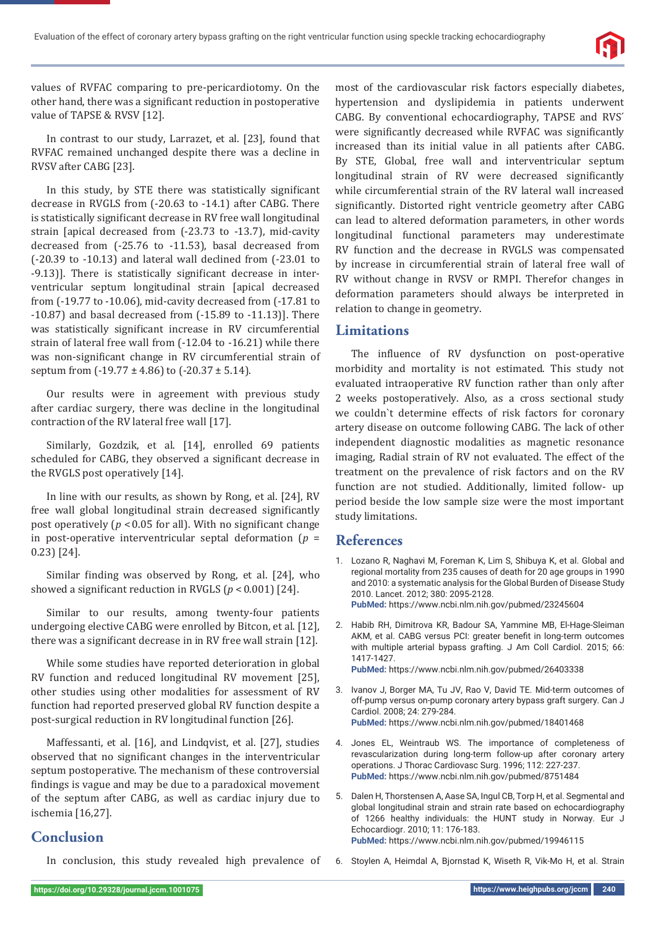

values of RVFAC comparing to pre-pericardiotomy. On the other hand, there was a significant reduction in postoperative value of TAPSE & RVSV [12].

In contrast to our study, Larrazet, et al. [23], found that RVFAC remained unchanged despite there was a decline in RVSV after CABG [23].

In this study, by STE there was statistically significant decrease in RVGLS from (-20.63 to -14.1) after CABG. There is statistically significant decrease in RV free wall longitudinal strain [apical decreased from (-23.73 to -13.7), mid-cavity decreased from (-25.76 to -11.53), basal decreased from (-20.39 to -10.13) and lateral wall declined from (-23.01 to -9.13)]. There is statistically significant decrease in interventricular septum longitudinal strain [apical decreased from (-19.77 to -10.06), mid-cavity decreased from (-17.81 to  $-10.87$ ) and basal decreased from  $(-15.89$  to  $-11.13$ ]. There was statistically significant increase in RV circumferential strain of lateral free wall from (-12.04 to -16.21) while there was non-significant change in RV circumferential strain of septum from  $(-19.77 \pm 4.86)$  to  $(-20.37 \pm 5.14)$ .

Our results were in agreement with previous study after cardiac surgery, there was decline in the longitudinal contraction of the RV lateral free wall [17].

Similarly, Gozdzik, et al. [14], enrolled 69 patients scheduled for CABG, they observed a significant decrease in the RVGLS post operatively [14].

In line with our results, as shown by Rong, et al. [24], RV free wall global longitudinal strain decreased significantly post operatively ( $p < 0.05$  for all). With no significant change in post-operative interventricular septal deformation (*p* = 0.23) [24].

Similar finding was observed by Rong, et al. [24], who showed a significant reduction in RVGLS ( $p < 0.001$ ) [24].

Similar to our results, among twenty-four patients undergoing elective CABG were enrolled by Bitcon, et al. [12], there was a significant decrease in in RV free wall strain [12].

While some studies have reported deterioration in global RV function and reduced longitudinal RV movement [25], other studies using other modalities for assessment of RV function had reported preserved global RV function despite a post-surgical reduction in RV longitudinal function [26].

Maffessanti, et al. [16], and Lindqvist, et al. [27], studies observed that no significant changes in the interventricular septum postoperative. The mechanism of these controversial findings is vague and may be due to a paradoxical movement of the septum after CABG, as well as cardiac injury due to ischemia [16,27].

# **Conclusion**

In conclusion, this study revealed high prevalence of

most of the cardiovascular risk factors especially diabetes, hypertension and dyslipidemia in patients underwent CABG. By conventional echocardiography, TAPSE and RVS´ were significantly decreased while RVFAC was significantly increased than its initial value in all patients after CABG. By STE, Global, free wall and interventricular septum longitudinal strain of RV were decreased significantly while circumferential strain of the RV lateral wall increased significantly. Distorted right ventricle geometry after CABG can lead to altered deformation parameters, in other words longitudinal functional parameters may underestimate RV function and the decrease in RVGLS was compensated by increase in circumferential strain of lateral free wall of RV without change in RVSV or RMPI. Therefor changes in deformation parameters should always be interpreted in relation to change in geometry.

## **Limitations**

The influence of RV dysfunction on post-operative morbidity and mortality is not estimated. This study not evaluated intraoperative RV function rather than only after 2 weeks postoperatively. Also, as a cross sectional study we couldn`t determine effects of risk factors for coronary artery disease on outcome following CABG. The lack of other independent diagnostic modalities as magnetic resonance imaging, Radial strain of RV not evaluated. The effect of the treatment on the prevalence of risk factors and on the RV function are not studied. Additionally, limited follow- up period beside the low sample size were the most important study limitations.

## **References**

- 1. Lozano R, Naghavi M, Foreman K, Lim S, Shibuya K, et al. Global and regional mortality from 235 causes of death for 20 age groups in 1990 and 2010: a systematic analysis for the Global Burden of Disease Study 2010. Lancet. 2012; 380: 2095-2128. **PubMed:** https://www.ncbi.nlm.nih.gov/pubmed/23245604
- 2. Habib RH, Dimitrova KR, Badour SA, Yammine MB, El-Hage-Sleiman AKM, et al. CABG versus PCI: greater benefit in long-term outcomes with multiple arterial bypass grafting. J Am Coll Cardiol. 2015; 66: 1417-1427.

**PubMed:** https://www.ncbi.nlm.nih.gov/pubmed/26403338

- 3. Ivanov J, Borger MA, Tu JV, Rao V, David TE. Mid-term outcomes of off-pump versus on-pump coronary artery bypass graft surgery. Can J Cardiol. 2008; 24: 279-284. **PubMed:** https://www.ncbi.nlm.nih.gov/pubmed/18401468
- 4. Jones EL, Weintraub WS. The importance of completeness of revascularization during long-term follow-up after coronary artery operations. J Thorac Cardiovasc Surg. 1996; 112: 227-237. **PubMed:** https://www.ncbi.nlm.nih.gov/pubmed/8751484
- 5. Dalen H, Thorstensen A, Aase SA, Ingul CB, Torp H, et al. Segmental and global longitudinal strain and strain rate based on echocardiography of 1266 healthy individuals: the HUNT study in Norway. Eur J Echocardiogr. 2010; 11: 176-183. **PubMed:** https://www.ncbi.nlm.nih.gov/pubmed/19946115
- 6. Stoylen A, Heimdal A, Bjornstad K, Wiseth R, Vik-Mo H, et al. Strain